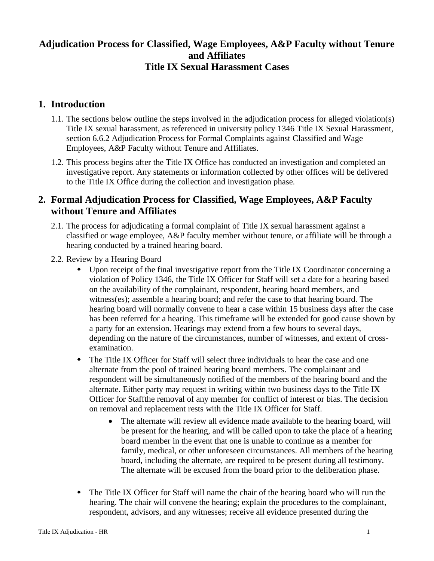## **Adjudication Process for Classified, Wage Employees, A&P Faculty without Tenure and Affiliates Title IX Sexual Harassment Cases**

## **1. Introduction**

- 1.1. The sections below outline the steps involved in the adjudication process for alleged violation(s) Title IX sexual harassment, as referenced in university policy 1346 [Title IX Sexual Harassment,](https://www.jmu.edu/JMUpolicy/policies/1340.shtml) section 6.6.2 Adjudication Process for Formal Complaints against Classified and Wage Employees, A&P Faculty without Tenure and Affiliates.
- 1.2. This process begins after the Title IX Office has conducted an investigation and completed an investigative report. Any statements or information collected by other offices will be delivered to the Title IX Office during the collection and investigation phase.

## **2. Formal Adjudication Process for Classified, Wage Employees, A&P Faculty without Tenure and Affiliates**

- 2.1. The process for adjudicating a formal complaint of Title IX sexual harassment against a classified or wage employee, A&P faculty member without tenure, or affiliate will be through a hearing conducted by a trained hearing board.
- 2.2. Review by a Hearing Board
	- Upon receipt of the final investigative report from the Title IX Coordinator concerning a violation of Policy 1346, the Title IX Officer for Staff will set a date for a hearing based on the availability of the complainant, respondent, hearing board members, and witness(es); assemble a hearing board; and refer the case to that hearing board. The hearing board will normally convene to hear a case within 15 business days after the case has been referred for a hearing. This timeframe will be extended for good cause shown by a party for an extension. Hearings may extend from a few hours to several days, depending on the nature of the circumstances, number of witnesses, and extent of crossexamination.
	- The Title IX Officer for Staff will select three individuals to hear the case and one alternate from the pool of trained hearing board members. The complainant and respondent will be simultaneously notified of the members of the hearing board and the alternate. Either party may request in writing within two business days to the Title IX Officer for Staffthe removal of any member for conflict of interest or bias. The decision on removal and replacement rests with the Title IX Officer for Staff.
		- The alternate will review all evidence made available to the hearing board, will be present for the hearing, and will be called upon to take the place of a hearing board member in the event that one is unable to continue as a member for family, medical, or other unforeseen circumstances. All members of the hearing board, including the alternate, are required to be present during all testimony. The alternate will be excused from the board prior to the deliberation phase.
	- The Title IX Officer for Staff will name the chair of the hearing board who will run the hearing. The chair will convene the hearing; explain the procedures to the complainant, respondent, advisors, and any witnesses; receive all evidence presented during the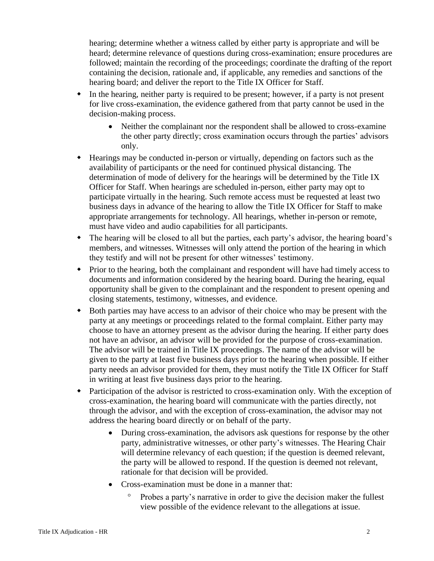hearing; determine whether a witness called by either party is appropriate and will be heard; determine relevance of questions during cross-examination; ensure procedures are followed; maintain the recording of the proceedings; coordinate the drafting of the report containing the decision, rationale and, if applicable, any remedies and sanctions of the hearing board; and deliver the report to the Title IX Officer for Staff.

- In the hearing, neither party is required to be present; however, if a party is not present for live cross-examination, the evidence gathered from that party cannot be used in the decision-making process.
	- Neither the complainant nor the respondent shall be allowed to cross-examine the other party directly; cross examination occurs through the parties' advisors only.
- Hearings may be conducted in-person or virtually, depending on factors such as the availability of participants or the need for continued physical distancing. The determination of mode of delivery for the hearings will be determined by the Title IX Officer for Staff. When hearings are scheduled in-person, either party may opt to participate virtually in the hearing. Such remote access must be requested at least two business days in advance of the hearing to allow the Title IX Officer for Staff to make appropriate arrangements for technology. All hearings, whether in-person or remote, must have video and audio capabilities for all participants.
- The hearing will be closed to all but the parties, each party's advisor, the hearing board's members, and witnesses. Witnesses will only attend the portion of the hearing in which they testify and will not be present for other witnesses' testimony.
- Prior to the hearing, both the complainant and respondent will have had timely access to documents and information considered by the hearing board. During the hearing, equal opportunity shall be given to the complainant and the respondent to present opening and closing statements, testimony, witnesses, and evidence.
- Both parties may have access to an advisor of their choice who may be present with the party at any meetings or proceedings related to the formal complaint. Either party may choose to have an attorney present as the advisor during the hearing. If either party does not have an advisor, an advisor will be provided for the purpose of cross-examination. The advisor will be trained in Title IX proceedings. The name of the advisor will be given to the party at least five business days prior to the hearing when possible. If either party needs an advisor provided for them, they must notify the Title IX Officer for Staff in writing at least five business days prior to the hearing.
- Participation of the advisor is restricted to cross-examination only. With the exception of cross-examination, the hearing board will communicate with the parties directly, not through the advisor, and with the exception of cross-examination, the advisor may not address the hearing board directly or on behalf of the party.
	- During cross-examination, the advisors ask questions for response by the other party, administrative witnesses, or other party's witnesses. The Hearing Chair will determine relevancy of each question; if the question is deemed relevant, the party will be allowed to respond. If the question is deemed not relevant, rationale for that decision will be provided.
	- Cross-examination must be done in a manner that:
		- Probes a party's narrative in order to give the decision maker the fullest view possible of the evidence relevant to the allegations at issue.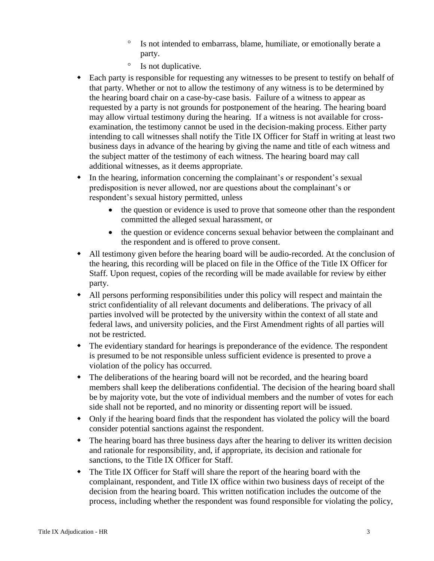- <sup>o</sup> Is not intended to embarrass, blame, humiliate, or emotionally berate a party.
- <sup>o</sup> Is not duplicative.
- Each party is responsible for requesting any witnesses to be present to testify on behalf of that party. Whether or not to allow the testimony of any witness is to be determined by the hearing board chair on a case-by-case basis. Failure of a witness to appear as requested by a party is not grounds for postponement of the hearing. The hearing board may allow virtual testimony during the hearing. If a witness is not available for crossexamination, the testimony cannot be used in the decision-making process. Either party intending to call witnesses shall notify the Title IX Officer for Staff in writing at least two business days in advance of the hearing by giving the name and title of each witness and the subject matter of the testimony of each witness. The hearing board may call additional witnesses, as it deems appropriate.
- In the hearing, information concerning the complainant's or respondent's sexual predisposition is never allowed, nor are questions about the complainant's or respondent's sexual history permitted, unless
	- the question or evidence is used to prove that someone other than the respondent committed the alleged sexual harassment, or
	- the question or evidence concerns sexual behavior between the complainant and the respondent and is offered to prove consent.
- All testimony given before the hearing board will be audio-recorded. At the conclusion of the hearing, this recording will be placed on file in the Office of the Title IX Officer for Staff. Upon request, copies of the recording will be made available for review by either party.
- All persons performing responsibilities under this policy will respect and maintain the strict confidentiality of all relevant documents and deliberations. The privacy of all parties involved will be protected by the university within the context of all state and federal laws, and university policies, and the First Amendment rights of all parties will not be restricted.
- The evidentiary standard for hearings is preponderance of the evidence. The respondent is presumed to be not responsible unless sufficient evidence is presented to prove a violation of the policy has occurred.
- The deliberations of the hearing board will not be recorded, and the hearing board members shall keep the deliberations confidential. The decision of the hearing board shall be by majority vote, but the vote of individual members and the number of votes for each side shall not be reported, and no minority or dissenting report will be issued.
- Only if the hearing board finds that the respondent has violated the policy will the board consider potential sanctions against the respondent.
- The hearing board has three business days after the hearing to deliver its written decision and rationale for responsibility, and, if appropriate, its decision and rationale for sanctions, to the Title IX Officer for Staff.
- The Title IX Officer for Staff will share the report of the hearing board with the complainant, respondent, and Title IX office within two business days of receipt of the decision from the hearing board. This written notification includes the outcome of the process, including whether the respondent was found responsible for violating the policy,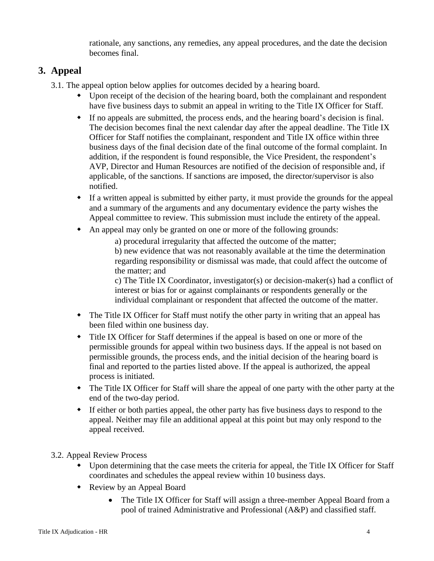rationale, any sanctions, any remedies, any appeal procedures, and the date the decision becomes final.

# **3. Appeal**

3.1. The appeal option below applies for outcomes decided by a hearing board.

- Upon receipt of the decision of the hearing board, both the complainant and respondent have five business days to submit an appeal in writing to the Title IX Officer for Staff.
- If no appeals are submitted, the process ends, and the hearing board's decision is final. The decision becomes final the next calendar day after the appeal deadline. The Title IX Officer for Staff notifies the complainant, respondent and Title IX office within three business days of the final decision date of the final outcome of the formal complaint. In addition, if the respondent is found responsible, the Vice President, the respondent's AVP, Director and Human Resources are notified of the decision of responsible and, if applicable, of the sanctions. If sanctions are imposed, the director/supervisor is also notified.
- If a written appeal is submitted by either party, it must provide the grounds for the appeal and a summary of the arguments and any documentary evidence the party wishes the Appeal committee to review. This submission must include the entirety of the appeal.
- An appeal may only be granted on one or more of the following grounds:

a) procedural irregularity that affected the outcome of the matter; b) new evidence that was not reasonably available at the time the determination regarding responsibility or dismissal was made, that could affect the outcome of the matter; and

c) The Title IX Coordinator, investigator(s) or decision-maker(s) had a conflict of interest or bias for or against complainants or respondents generally or the individual complainant or respondent that affected the outcome of the matter.

- The Title IX Officer for Staff must notify the other party in writing that an appeal has been filed within one business day.
- Title IX Officer for Staff determines if the appeal is based on one or more of the permissible grounds for appeal within two business days. If the appeal is not based on permissible grounds, the process ends, and the initial decision of the hearing board is final and reported to the parties listed above. If the appeal is authorized, the appeal process is initiated.
- The Title IX Officer for Staff will share the appeal of one party with the other party at the end of the two-day period.
- If either or both parties appeal, the other party has five business days to respond to the appeal. Neither may file an additional appeal at this point but may only respond to the appeal received.
- 3.2. Appeal Review Process
	- Upon determining that the case meets the criteria for appeal, the Title IX Officer for Staff coordinates and schedules the appeal review within 10 business days.
	- Review by an Appeal Board
		- The Title IX Officer for Staff will assign a three-member Appeal Board from a pool of trained Administrative and Professional (A&P) and classified staff.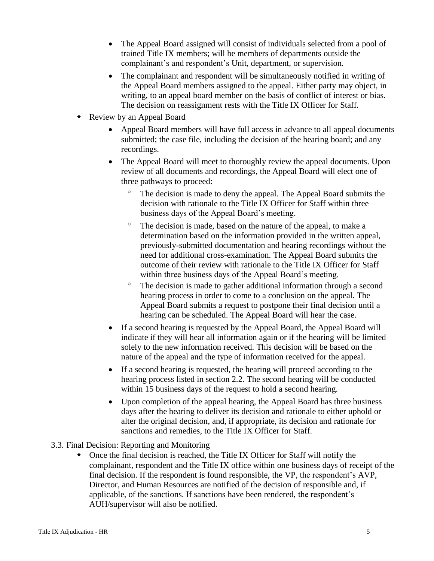- The Appeal Board assigned will consist of individuals selected from a pool of trained Title IX members; will be members of departments outside the complainant's and respondent's Unit, department, or supervision.
- The complainant and respondent will be simultaneously notified in writing of the Appeal Board members assigned to the appeal. Either party may object, in writing, to an appeal board member on the basis of conflict of interest or bias. The decision on reassignment rests with the Title IX Officer for Staff.
- Review by an Appeal Board
	- Appeal Board members will have full access in advance to all appeal documents submitted; the case file, including the decision of the hearing board; and any recordings.
	- The Appeal Board will meet to thoroughly review the appeal documents. Upon review of all documents and recordings, the Appeal Board will elect one of three pathways to proceed:
		- <sup>o</sup> The decision is made to deny the appeal. The Appeal Board submits the decision with rationale to the Title IX Officer for Staff within three business days of the Appeal Board's meeting.
		- <sup>o</sup> The decision is made, based on the nature of the appeal, to make a determination based on the information provided in the written appeal, previously-submitted documentation and hearing recordings without the need for additional cross-examination. The Appeal Board submits the outcome of their review with rationale to the Title IX Officer for Staff within three business days of the Appeal Board's meeting.
		- <sup>o</sup> The decision is made to gather additional information through a second hearing process in order to come to a conclusion on the appeal. The Appeal Board submits a request to postpone their final decision until a hearing can be scheduled. The Appeal Board will hear the case.
	- If a second hearing is requested by the Appeal Board, the Appeal Board will indicate if they will hear all information again or if the hearing will be limited solely to the new information received. This decision will be based on the nature of the appeal and the type of information received for the appeal.
	- If a second hearing is requested, the hearing will proceed according to the hearing process listed in section 2.2. The second hearing will be conducted within 15 business days of the request to hold a second hearing.
	- Upon completion of the appeal hearing, the Appeal Board has three business days after the hearing to deliver its decision and rationale to either uphold or alter the original decision, and, if appropriate, its decision and rationale for sanctions and remedies, to the Title IX Officer for Staff.

#### 3.3. Final Decision: Reporting and Monitoring

 Once the final decision is reached, the Title IX Officer for Staff will notify the complainant, respondent and the Title IX office within one business days of receipt of the final decision. If the respondent is found responsible, the VP, the respondent's AVP, Director, and Human Resources are notified of the decision of responsible and, if applicable, of the sanctions. If sanctions have been rendered, the respondent's AUH/supervisor will also be notified.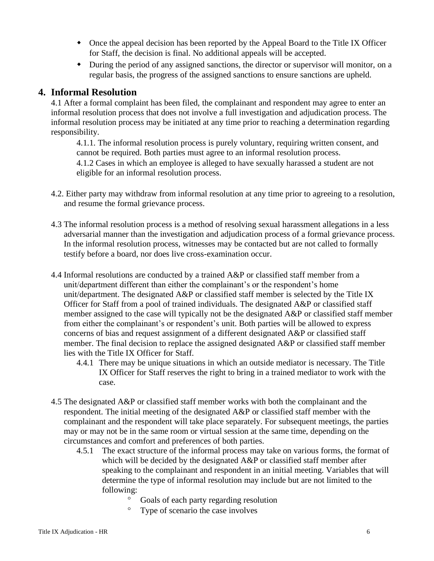- Once the appeal decision has been reported by the Appeal Board to the Title IX Officer for Staff, the decision is final. No additional appeals will be accepted.
- During the period of any assigned sanctions, the director or supervisor will monitor, on a regular basis, the progress of the assigned sanctions to ensure sanctions are upheld.

#### **4. Informal Resolution**

4.1 After a formal complaint has been filed, the complainant and respondent may agree to enter an informal resolution process that does not involve a full investigation and adjudication process. The informal resolution process may be initiated at any time prior to reaching a determination regarding responsibility.

4.1.1. The informal resolution process is purely voluntary, requiring written consent, and cannot be required. Both parties must agree to an informal resolution process.

4.1.2 Cases in which an employee is alleged to have sexually harassed a student are not eligible for an informal resolution process.

- 4.2. Either party may withdraw from informal resolution at any time prior to agreeing to a resolution, and resume the formal grievance process.
- 4.3 The informal resolution process is a method of resolving sexual harassment allegations in a less adversarial manner than the investigation and adjudication process of a formal grievance process. In the informal resolution process, witnesses may be contacted but are not called to formally testify before a board, nor does live cross-examination occur.
- 4.4 Informal resolutions are conducted by a trained A&P or classified staff member from a unit/department different than either the complainant's or the respondent's home unit/department. The designated A&P or classified staff member is selected by the Title IX Officer for Staff from a pool of trained individuals. The designated A&P or classified staff member assigned to the case will typically not be the designated A&P or classified staff member from either the complainant's or respondent's unit. Both parties will be allowed to express concerns of bias and request assignment of a different designated A&P or classified staff member. The final decision to replace the assigned designated A&P or classified staff member lies with the Title IX Officer for Staff.
	- 4.4.1 There may be unique situations in which an outside mediator is necessary. The Title IX Officer for Staff reserves the right to bring in a trained mediator to work with the case.
- 4.5 The designated A&P or classified staff member works with both the complainant and the respondent. The initial meeting of the designated A&P or classified staff member with the complainant and the respondent will take place separately. For subsequent meetings, the parties may or may not be in the same room or virtual session at the same time, depending on the circumstances and comfort and preferences of both parties.
	- 4.5.1 The exact structure of the informal process may take on various forms, the format of which will be decided by the designated A&P or classified staff member after speaking to the complainant and respondent in an initial meeting. Variables that will determine the type of informal resolution may include but are not limited to the following:
		- <sup>o</sup> Goals of each party regarding resolution
		- Type of scenario the case involves